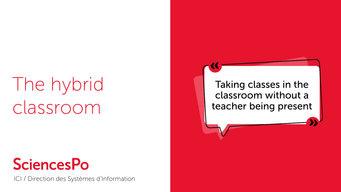# The hybrid classroom

## **SciencesPo**

ICI / Direction des Systèmes d'Information

Taking classes in the classroom without a teacher being present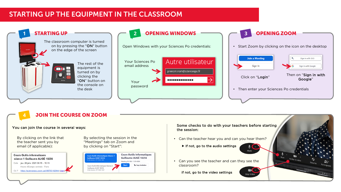#### STARTING UP THE EQUIPMENT IN THE CLASSROOM